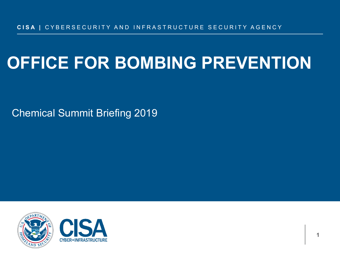### **OFFICE FOR BOMBING PREVENTION**

Chemical Summit Briefing 2019



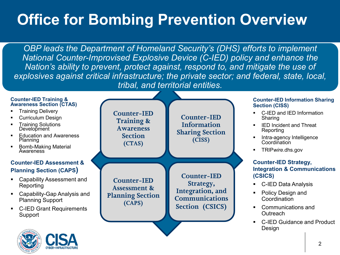### **Office for Bombing Prevention Overview**

*OBP leads the Department of Homeland Security's (DHS) efforts to implement National Counter-Improvised Explosive Device (C-IED) policy and enhance the Nation's ability to prevent, protect against, respond to, and mitigate the use of explosives against critical infrastructure; the private sector; and federal, state, local, tribal, and territorial entities.*

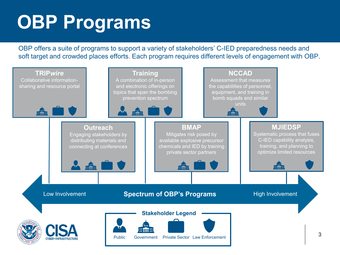## **OBP Programs**

OBP offers a suite of programs to support a variety of stakeholders' C-IED preparedness needs and soft target and crowded places efforts. Each program requires different levels of engagement with OBP.

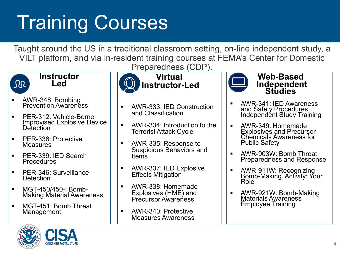# Training Courses

Taught around the US in a traditional classroom setting, on-line independent study, a VILT platform, and via in-resident training courses at FEMA's Center for Domestic

**Virtual** 



#### **Instructor Led**

- AWR-348: Bombing<br>Prevention Awareness
- PER-312: Vehicle-Borne Improvised Explosive Device **Detection**
- PER-336: Protective **Measures**
- **PER-339: IED Search** Procedures
- **PER-346: Surveillance Detection**
- MGT-450/450-I Bomb- Making Material Awareness
- **MGT-451: Bomb Threat** Management



- AWR-333: IED Construction and Classification
- **AWR-334: Introduction to the** Terrorist Attack Cycle
- AWR-335: Response to Suspicious Behaviors and Items
- **AWR-337: IED Explosive** Effects Mitigation
- AWR-338: Homemade Explosives (HME) and Precursor Awareness
- **AWR-340: Protective** Measures Awareness



**Web-Based Independent Studies**

- AWR-341: IED Awareness and Safety Procedures Independént Study Training
- AWR-349: Homemade Explosives and Precursor Chemicals Awareness for Public Safety
- AWR-903W: Bomb Threat Preparedness and Response
- AWR-911W: Recognizing<br>Bomb-Making Activity: Your<br>Role
- AWR-921W: Bomb-Making Materials Awareness Employee Training

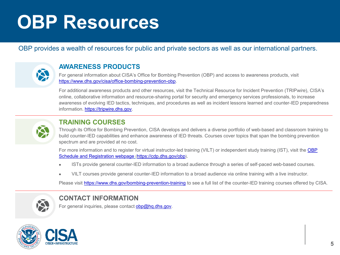## **OBP Resources**

### OBP provides a wealth of resources for public and private sectors as well as our international partners.



### **AWARENESS PRODUCTS**

For general information about CISA's Office for Bombing Prevention (OBP) and access to awareness products, visit [https://www.dhs.gov/cisa/office-bombing-prevention-obp.](https://www.dhs.gov/cisa/office-bombing-prevention-obp)

For additional awareness products and other resources, visit the Technical Resource for Incident Prevention (TRIP*wire*), CISA's online, collaborative information and resource-sharing portal for security and emergency services professionals, to increase awareness of evolving IED tactics, techniques, and procedures as well as incident lessons learned and counter-IED preparedness information. [https://tripwire.dhs.gov.](https://tripwire.dhs.gov/)



### **TRAINING COURSES**

Through its Office for Bombing Prevention, CISA develops and delivers a diverse portfolio of web-based and classroom training to build counter-IED capabilities and enhance awareness of IED threats. Courses cover topics that span the bombing prevention spectrum and are provided at no cost.

[For more information and to register for virtual instructor-led training \(VILT\) or independent study training \(IST\), visit the OBP](https://cdp.dhs.gov/obp) Schedule and Registration webpage (<https://cdp.dhs.gov/obp>).

- ISTs provide general counter-IED information to a broad audience through a series of self-paced web-based courses.
- VILT courses provide general counter-IED information to a broad audience via online training with a live instructor.

Please visit <https://www.dhs.gov/bombing-prevention-training> to see a full list of the counter-IED training courses offered by CISA.



### **CONTACT INFORMATION**

For general inquiries, please contact [obp@hq.dhs.gov.](mailto:obp@hq.dhs.gov)